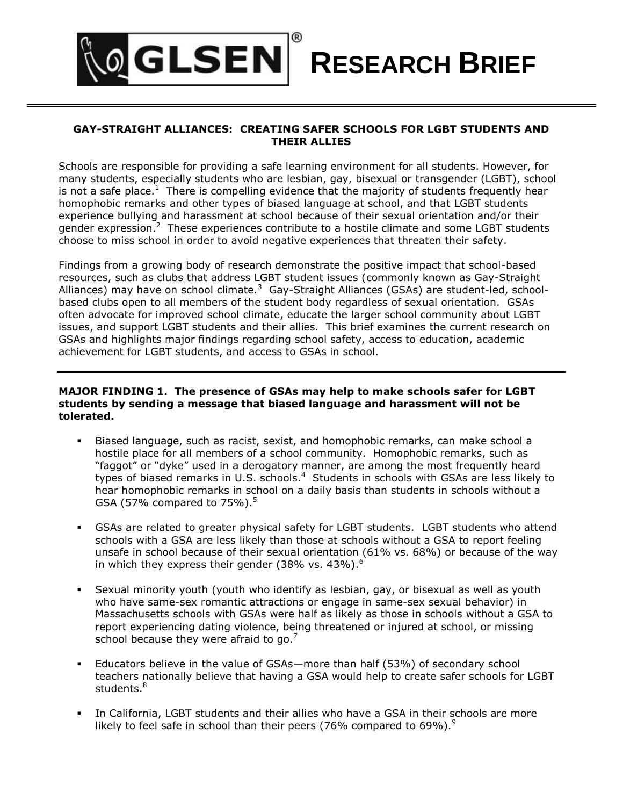# **GLSEN RESEARCH BRIEF**

## **GAY-STRAIGHT ALLIANCES: CREATING SAFER SCHOOLS FOR LGBT STUDENTS AND THEIR ALLIES**

Schools are responsible for providing a safe learning environment for all students. However, for many students, especially students who are lesbian, gay, bisexual or transgender (LGBT), school is not a safe place.<sup>1</sup> There is compelling evidence that the majority of students frequently hear homophobic remarks and other types of biased language at school, and that LGBT students experience bullying and harassment at school because of their sexual orientation and/or their gender expression.<sup>2</sup> These experiences contribute to a hostile climate and some LGBT students choose to miss school in order to avoid negative experiences that threaten their safety.

Findings from a growing body of research demonstrate the positive impact that school-based resources, such as clubs that address LGBT student issues (commonly known as Gay-Straight Alliances) may have on school climate.<sup>3</sup> Gay-Straight Alliances (GSAs) are student-led, schoolbased clubs open to all members of the student body regardless of sexual orientation. GSAs often advocate for improved school climate, educate the larger school community about LGBT issues, and support LGBT students and their allies. This brief examines the current research on GSAs and highlights major findings regarding school safety, access to education, academic achievement for LGBT students, and access to GSAs in school.

#### **MAJOR FINDING 1. The presence of GSAs may help to make schools safer for LGBT students by sending a message that biased language and harassment will not be tolerated.**

- Biased language, such as racist, sexist, and homophobic remarks, can make school a hostile place for all members of a school community. Homophobic remarks, such as "faggot" or "dyke" used in a derogatory manner, are among the most frequently heard types of biased remarks in U.S. schools.<sup>4</sup> Students in schools with GSAs are less likely to hear homophobic remarks in school on a daily basis than students in schools without a GSA (57% compared to  $75\%$ ).<sup>5</sup>
- GSAs are related to greater physical safety for LGBT students. LGBT students who attend schools with a GSA are less likely than those at schools without a GSA to report feeling unsafe in school because of their sexual orientation (61% vs. 68%) or because of the way in which they express their gender (38% vs. 43%).<sup>6</sup>
- Sexual minority youth (youth who identify as lesbian, gay, or bisexual as well as youth who have same-sex romantic attractions or engage in same-sex sexual behavior) in Massachusetts schools with GSAs were half as likely as those in schools without a GSA to report experiencing dating violence, being threatened or injured at school, or missing school because they were afraid to go.<sup>7</sup>
- Educators believe in the value of GSAs—more than half (53%) of secondary school teachers nationally believe that having a GSA would help to create safer schools for LGBT students. $^8\,$
- In California, LGBT students and their allies who have a GSA in their schools are more likely to feel safe in school than their peers (76% compared to 69%).<sup>9</sup>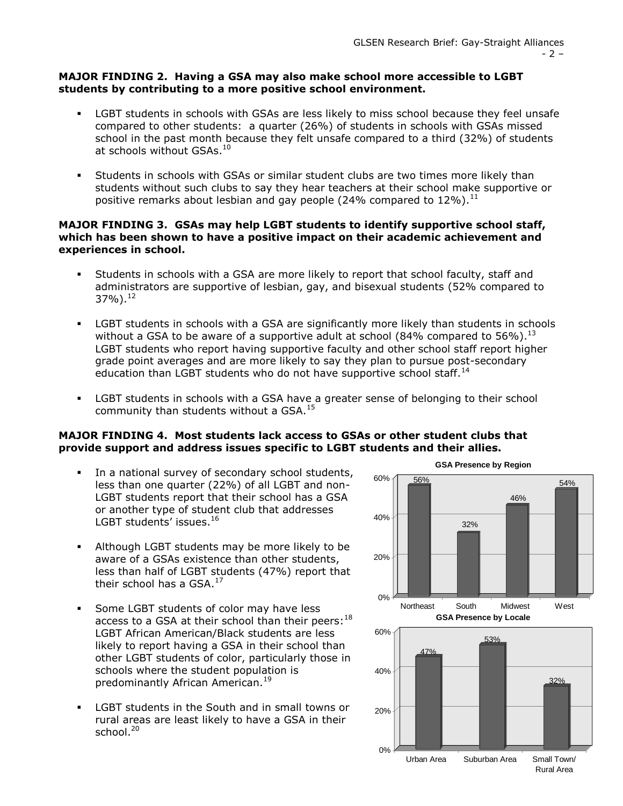### **MAJOR FINDING 2. Having a GSA may also make school more accessible to LGBT students by contributing to a more positive school environment.**

- LGBT students in schools with GSAs are less likely to miss school because they feel unsafe compared to other students:a quarter (26%) of students in schools with GSAs missed school in the past month because they felt unsafe compared to a third (32%) of students at schools without GSAs.<sup>10</sup>
- Students in schools with GSAs or similar student clubs are two times more likely than students without such clubs to say they hear teachers at their school make supportive or positive remarks about lesbian and gay people (24% compared to  $12\%$ ).<sup>11</sup>

### **MAJOR FINDING 3. GSAs may help LGBT students to identify supportive school staff, which has been shown to have a positive impact on their academic achievement and experiences in school.**

- Students in schools with a GSA are more likely to report that school faculty, staff and administrators are supportive of lesbian, gay, and bisexual students (52% compared to 37%).<sup>12</sup>
- LGBT students in schools with a GSA are significantly more likely than students in schools without a GSA to be aware of a supportive adult at school (84% compared to 56%).<sup>13</sup> LGBT students who report having supportive faculty and other school staff report higher grade point averages and are more likely to say they plan to pursue post-secondary education than LGBT students who do not have supportive school staff.<sup>14</sup>
- LGBT students in schools with a GSA have a greater sense of belonging to their school community than students without a GSA. $^{15}$

# **MAJOR FINDING 4. Most students lack access to GSAs or other student clubs that provide support and address issues specific to LGBT students and their allies.**

- In a national survey of secondary school students, less than one quarter (22%) of all LGBT and non-LGBT students report that their school has a GSA or another type of student club that addresses LGBT students' issues.<sup>16</sup>
- Although LGBT students may be more likely to be aware of a GSAs existence than other students, less than half of LGBT students (47%) report that their school has a GSA.<sup>17</sup>
- **Some LGBT students of color may have less** access to a GSA at their school than their peers:  $^{18}$ LGBT African American/Black students are less likely to report having a GSA in their school than other LGBT students of color, particularly those in schools where the student population is predominantly African American.<sup>19</sup>
- **EXECT** students in the South and in small towns or rural areas are least likely to have a GSA in their school.<sup>20</sup>

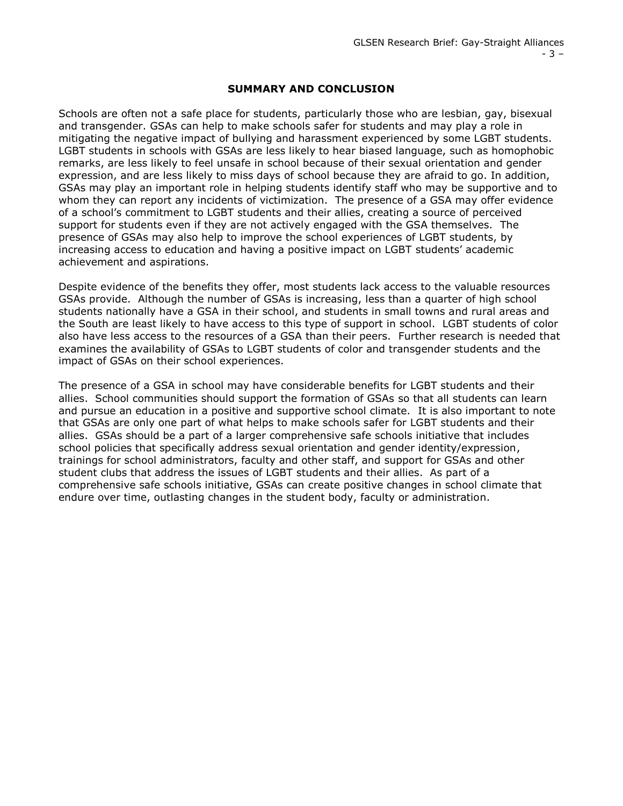#### **SUMMARY AND CONCLUSION**

Schools are often not a safe place for students, particularly those who are lesbian, gay, bisexual and transgender. GSAs can help to make schools safer for students and may play a role in mitigating the negative impact of bullying and harassment experienced by some LGBT students. LGBT students in schools with GSAs are less likely to hear biased language, such as homophobic remarks, are less likely to feel unsafe in school because of their sexual orientation and gender expression, and are less likely to miss days of school because they are afraid to go. In addition, GSAs may play an important role in helping students identify staff who may be supportive and to whom they can report any incidents of victimization. The presence of a GSA may offer evidence of a school's commitment to LGBT students and their allies, creating a source of perceived support for students even if they are not actively engaged with the GSA themselves. The presence of GSAs may also help to improve the school experiences of LGBT students, by increasing access to education and having a positive impact on LGBT students' academic achievement and aspirations.

Despite evidence of the benefits they offer, most students lack access to the valuable resources GSAs provide. Although the number of GSAs is increasing, less than a quarter of high school students nationally have a GSA in their school, and students in small towns and rural areas and the South are least likely to have access to this type of support in school. LGBT students of color also have less access to the resources of a GSA than their peers. Further research is needed that examines the availability of GSAs to LGBT students of color and transgender students and the impact of GSAs on their school experiences.

The presence of a GSA in school may have considerable benefits for LGBT students and their allies. School communities should support the formation of GSAs so that all students can learn and pursue an education in a positive and supportive school climate. It is also important to note that GSAs are only one part of what helps to make schools safer for LGBT students and their allies. GSAs should be a part of a larger comprehensive safe schools initiative that includes school policies that specifically address sexual orientation and gender identity/expression, trainings for school administrators, faculty and other staff, and support for GSAs and other student clubs that address the issues of LGBT students and their allies. As part of a comprehensive safe schools initiative, GSAs can create positive changes in school climate that endure over time, outlasting changes in the student body, faculty or administration.